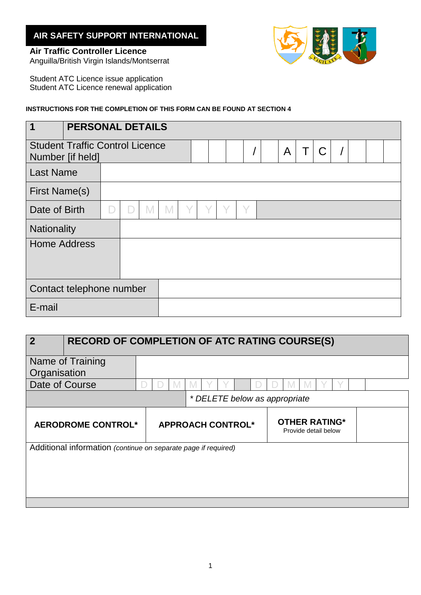## **AIR SAFETY SUPPORT INTERNATIONAL**

## **Air Traffic Controller Licence**



Anguilla/British Virgin Islands/Montserrat

Student ATC Licence issue application Student ATC Licence renewal application

## **INSTRUCTIONS FOR THE COMPLETION OF THIS FORM CAN BE FOUND AT SECTION 4**

| 1                                                          | <b>PERSONAL DETAILS</b> |  |  |  |  |  |              |   |              |  |  |  |  |  |
|------------------------------------------------------------|-------------------------|--|--|--|--|--|--------------|---|--------------|--|--|--|--|--|
| <b>Student Traffic Control Licence</b><br>Number [if held] |                         |  |  |  |  |  | $\mathsf{A}$ | Τ | $\mathsf{C}$ |  |  |  |  |  |
| <b>Last Name</b>                                           |                         |  |  |  |  |  |              |   |              |  |  |  |  |  |
| <b>First Name(s)</b>                                       |                         |  |  |  |  |  |              |   |              |  |  |  |  |  |
| Date of Birth                                              |                         |  |  |  |  |  |              | Y |              |  |  |  |  |  |
| <b>Nationality</b>                                         |                         |  |  |  |  |  |              |   |              |  |  |  |  |  |
| <b>Home Address</b>                                        |                         |  |  |  |  |  |              |   |              |  |  |  |  |  |
| Contact telephone number                                   |                         |  |  |  |  |  |              |   |              |  |  |  |  |  |
| E-mail                                                     |                         |  |  |  |  |  |              |   |              |  |  |  |  |  |

| $\overline{2}$                                                 | <b>RECORD OF COMPLETION OF ATC RATING COURSE(S)</b> |  |                          |  |                                              |  |  |  |  |
|----------------------------------------------------------------|-----------------------------------------------------|--|--------------------------|--|----------------------------------------------|--|--|--|--|
|                                                                | Name of Training                                    |  |                          |  |                                              |  |  |  |  |
| Organisation                                                   |                                                     |  |                          |  |                                              |  |  |  |  |
| Date of Course                                                 |                                                     |  |                          |  |                                              |  |  |  |  |
|                                                                |                                                     |  |                          |  | * DELETE below as appropriate                |  |  |  |  |
|                                                                | AERODROME CONTROL*                                  |  | <b>APPROACH CONTROL*</b> |  | <b>OTHER RATING*</b><br>Provide detail below |  |  |  |  |
| Additional information (continue on separate page if required) |                                                     |  |                          |  |                                              |  |  |  |  |
|                                                                |                                                     |  |                          |  |                                              |  |  |  |  |